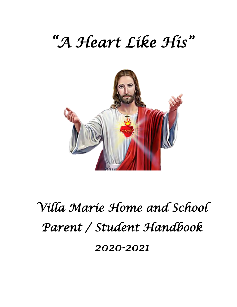# *"A Heart Like His"*



# *Villa Marie Home and School Parent / Student Handbook 2020-2021*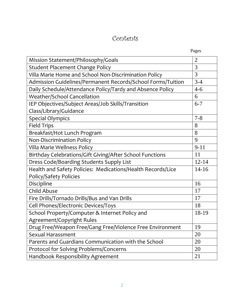# Contents

| Pages |
|-------|
|       |

| Mission Statement/Philosophy/Goals                          | $\overline{2}$ |
|-------------------------------------------------------------|----------------|
| <b>Student Placement Change Policy</b>                      | 3              |
| Villa Marie Home and School Non-Discrimination Policy       | 3              |
| Admission Guidelines/Permanent Records/School Forms/Tuition | $3 - 4$        |
| Daily Schedule/Attendance Policy/Tardy and Absence Policy   | $4 - 6$        |
| Weather/School Cancellation                                 | 6              |
| IEP Objectives/Subject Areas/Job Skills/Transition          | $6 - 7$        |
| Class/Library/Guidance                                      |                |
| <b>Special Olympics</b>                                     | $7 - 8$        |
| <b>Field Trips</b>                                          | 8              |
| Breakfast/Hot Lunch Program                                 | 8              |
| <b>Non-Discrimination Policy</b>                            | 9              |
| Villa Marie Wellness Policy                                 | $9 - 11$       |
| Birthday Celebrations/Gift Giving/After School Functions    | 11             |
| Dress Code/Boarding Students Supply List                    | $12 - 14$      |
| Health and Safety Policies: Medications/Health Records/Lice | $14-16$        |
| <b>Policy/Safety Policies</b>                               |                |
| Discipline                                                  | 16             |
| <b>Child Abuse</b>                                          | 17             |
| Fire Drills/Tornado Drills/Bus and Van Drills               | 17             |
| Cell Phones/Electronic Devices/Toys                         | 18             |
| School Property/Computer & Internet Policy and              | 18-19          |
| Agreement/Copyright Rules                                   |                |
| Drug Free/Weapon Free/Gang Free/Violence Free Environment   | 19             |
| Sexual Harassment                                           | 20             |
| Parents and Guardians Communication with the School         | 20             |
| Protocol for Solving Problems/Concerns                      | 20             |
| Handbook Responsibility Agreement                           | 21             |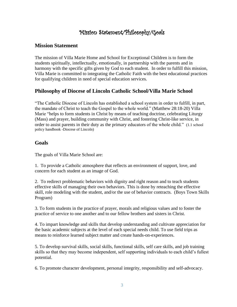# Mission Statement/Philosophy/Goals

## **Mission Statement**

The mission of Villa Marie Home and School for Exceptional Children is to form the students spiritually, intellectually, emotionally, in partnership with the parents and in harmony with the specific gifts given by God to each student. In order to fulfill this mission, Villa Marie is committed to integrating the Catholic Faith with the best educational practices for qualifying children in need of special education services.

## **Philosophy of Diocese of Lincoln Catholic School/Villa Marie School**

"The Catholic Diocese of Lincoln has established a school system in order to fulfill, in part, the mandate of Christ to teach the Gospel to the whole world." (Matthew 28:18-20) Villa Marie "helps to form students in Christ by means of teaching doctrine, celebrating Liturgy (Mass) and prayer, building community with Christ, and fostering Christ-like service, in order to assist parents in their duty as the primary educators of the whole child." (1.1 school policy handbook -Diocese of Lincoln)

#### **Goals**

The goals of Villa Marie School are:

1. To provide a Catholic atmosphere that reflects an environment of support, love, and concern for each student as an image of God.

2. To redirect problematic behaviors with dignity and right reason and to teach students effective skills of managing their own behaviors. This is done by reteaching the effective skill, role modeling with the student, and/or the use of behavior contracts. (Boys Town Skills Program)

3. To form students in the practice of prayer, morals and religious values and to foster the practice of service to one another and to our fellow brothers and sisters in Christ.

4. To impart knowledge and skills that develop understanding and cultivate appreciation for the basic academic subjects at the level of each special needs child. To use field trips as means to reinforce learned subject matter and create hands-on-experiences.

5. To develop survival skills, social skills, functional skills, self care skills, and job training skills so that they may become independent, self supporting individuals to each child's fullest potential.

6. To promote character development, personal integrity, responsibility and self-advocacy.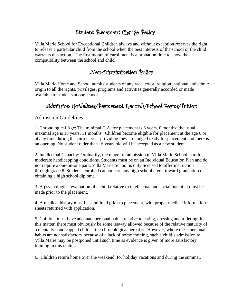# Student Placement Change Policy

Villa Marie School for Exceptional Children always and without exception reserves the right to release a particular child from the school when the best interests of the school or the child warrants this action. The first month of enrollment is a probation time to show the compatibility between the school and child.

## Non-Discrimination Policy

Villa Marie Home and School admits students of any race, color, religion, national and ethnic origin to all the rights, privileges, programs and activities generally accorded or made available to students at our school.

# Admission Guidelines/Permanent Records/School Forms/Tuition

## Admission Guidelines

1. Chronological Age: The minimal C.A. for placement is 6 years, 0 months; the usual maximal age is 18 years, 11 months. Children become eligible for placement at the age 6 or at any time during the current year providing they are judged ready for placement and there is an opening. No student older than 16 years old will be accepted as a new student.

2. Intellectual Capacity: Ordinarily, the range for admission to Villa Marie School is mildmoderate handicapping conditions. Students must be on an Individual Education Plan and do not require a one-on-one para. Villa Marie School is only licensed to offer instruction through grade 8. Students enrolled cannot earn any high school credit toward graduation or obtaining a high school diploma.

3. A psychological evaluation of a child relative to intellectual and social potential must be made prior to the placement.

4. A medical history must be submitted prior to placement, with proper medical information sheets returned with application.

5. Children must have adequate personal habits relative to eating, dressing and toileting. In this matter, there must obviously be some leeway allowed because of the relative maturity of a mentally handicapped child at the chronological age of 6. However, where these personal habits are not satisfactory because of a lack of home training, such a child's admission to Villa Marie may be postponed until such time as evidence is given of more satisfactory training in this matter.

6. Children return home over the weekend, for holiday vacations and during the summer.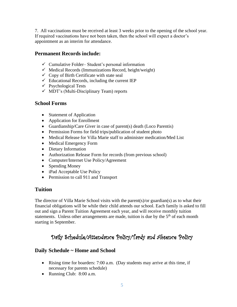7. All vaccinations must be received at least 3 weeks prior to the opening of the school year. If required vaccinations have not been taken, then the school will expect a doctor's appointment as an interim for attendance.

## **Permanent Records include:**

- $\checkmark$  Cumulative Folder–Student's personal information
- $\checkmark$  Medical Records (Immunizations Record, height/weight)
- $\checkmark$  Copy of Birth Certificate with state seal
- $\checkmark$  Educational Records, including the current IEP
- $\checkmark$  Psychological Tests
- $\checkmark$  MDT's (Multi-Disciplinary Team) reports

## **School Forms**

- Statement of Application
- Application for Enrollment
- Guardianship/Care Giver in case of parent(s) death (Loco Parentis)
- Permission Forms for field trips/publication of student photo
- Medical Release for Villa Marie staff to administer medication/Med List
- Medical Emergency Form
- Dietary Information
- Authorization Release Form for records (from previous school)
- Computer/Internet Use Policy/Agreement
- Spending Money
- iPad Acceptable Use Policy
- Permission to call 911 and Transport

## **Tuition**

The director of Villa Marie School visits with the parent(s)/or guardian(s) as to what their financial obligations will be while their child attends our school. Each family is asked to fill out and sign a Parent Tuition Agreement each year, and will receive monthly tuition statements. Unless other arrangements are made, tuition is due by the  $5<sup>th</sup>$  of each month starting in September.

# Daily Schedule/Attendance Policy/Tardy and Absence Policy

## **Daily Schedule ~ Home and School**

- Rising time for boarders: 7:00 a.m. (Day students may arrive at this time, if necessary for parents schedule)
- Running Club: 8:00 a.m.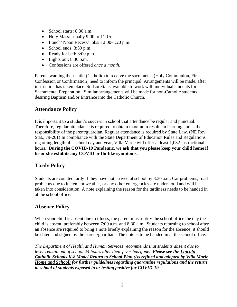- School starts: 8:30 a.m.
- Holy Mass: usually 9:00 or 11:15
- Lunch/ Noon Recess/ Jobs/ 12:00-1:20 p.m.
- School ends: 3:30 p.m.
- Ready for bed: 8:00 p.m.
- Lights out: 8:30 p.m.
- Confessions are offered *once a month*.

Parents wanting their child (Catholic) to receive the sacraments (Holy Communion, First Confession or Confirmation) need to inform the principal. Arrangements will be made, after instruction has taken place. Sr. Loretta is available to work with individual students for Sacramental Preparation. Similar arrangements will be made for non-Catholic students desiring Baptism and/or Entrance into the Catholic Church.

## **Attendance Policy**

It is important to a student's success in school that attendance be regular and punctual. Therefore, regular attendance is required to obtain maximum results in learning and is the responsibility of the parent/guardian. Regular attendance is required by State Law. (NE Rev. Stat., 79-201) In compliance with the State Department of Education Rules and Regulations regarding length of a school day and year, Villa Marie will offer at least 1,032 instructional hours. **During the COVID-19 Pandemic, we ask that you please keep your child home if he or she exhibits any COVID or flu-like symptoms.** 

## **Tardy Policy**

Students are counted tardy if they have not arrived at school by 8:30 a.m. Car problems, road problems due to inclement weather, or any other emergencies are understood and will be taken into consideration. A note explaining the reason for the tardiness needs to be handed in at the school office.

## **Absence Policy**

When your child is absent due to illness, the parent must notify the school office the day the child is absent, preferably between 7:00 a.m. and 8:30 a.m. Students returning to school after an absence are required to bring a note briefly explaining the reason for the absence; it should be dated and signed by the parent/guardian. The note is to be handed in at the school office.

*The Department of Health and Human Services recommends that students absent due to fever remain out of school 24 hours after their fever has gone. Please see the Lincoln Catholic Schools K-8 Model Return to School Plan (As refined and adopted by Villa Marie Home and School) for further guidelines regarding quarantine regulations and the return to school of students exposed to or testing positive for COVID-19.*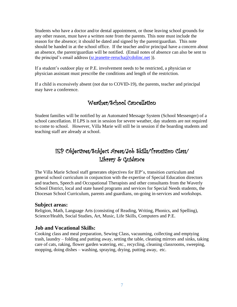Students who have a doctor and/or dental appointment, or those leaving school grounds for any other reason, must have a written note from the parents. This note must include the reason for the absence; it should be dated and signed by the parent/guardian. This note should be handed in at the school office. If the teacher and/or principal have a concern about an absence, the parent/guardian will be notified. (Email notes of absence can also be sent to the principal's email address [\(sr.jeanette-rerucha@cdolinc.net](mailto:sr.jeanette-rerucha@cdolinc.net))).

If a student's outdoor play or P.E. involvement needs to be restricted, a physician or physician assistant must prescribe the conditions and length of the restriction.

If a child is excessively absent (not due to COVID-19), the parents, teacher and principal may have a conference.

# Weather/School Cancellation

Student families will be notified by an Automated Message System (School Messenger) of a school cancellation. If LPS is not in session for severe weather, day students are not required to come to school. However, Villa Marie will still be in session if the boarding students and teaching staff are already at school.

# IEP Objectives/Subject Areas/Job Skills/Transition Class/ Library & Guidance

The Villa Marie School staff generates objectives for IEP's, transition curriculum and general school curriculum in conjunction with the expertise of Special Education directors and teachers, Speech and Occupational Therapists and other consultants from the Waverly School District, local and state based programs and services for Special Needs students, the Diocesan School Curriculum, parents and guardians, on-going in-services and workshops.

#### **Subject areas:**

Religion, Math, Language Arts (consisting of Reading, Writing, Phonics, and Spelling), Science/Health, Social Studies, Art, Music, Life Skills, Computers and P.E.

#### **Job and Vocational Skills:**

Cooking class and meal preparation, Sewing Class, vacuuming, collecting and emptying trash, laundry – folding and putting away, setting the table, cleaning mirrors and sinks, taking care of cats, raking, flower garden watering, etc., recycling, cleaning classrooms, sweeping, mopping, doing dishes – washing, spraying, drying, putting away, etc.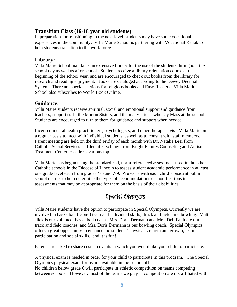### **Transition Class (16-18 year old students)**

In preparation for transitioning to the next level, students may have some vocational experiences in the community. Villa Marie School is partnering with Vocational Rehab to help students transition to the work force.

### **Library:**

Villa Marie School maintains an extensive library for the use of the students throughout the school day as well as after school. Students receive a library orientation course at the beginning of the school year, and are encouraged to check out books from the library for research and reading enjoyment. Books are cataloged according to the Dewey Decimal System. There are special sections for religious books and Easy Readers. Villa Marie School also subscribes to World Book Online.

#### **Guidance:**

Villa Marie students receive spiritual, social and emotional support and guidance from teachers, support staff, the Marian Sisters, and the many priests who say Mass at the school. Students are encouraged to turn to them for guidance and support when needed.

Licensed mental health practitioners, psychologists, and other therapists visit Villa Marie on a regular basis to meet with individual students, as well as to consult with staff members. Parent meeting are held on the third Friday of each month with Dr. Natalie Brei from Catholic Social Services and Jennifer Schrage from Bright Futures Counseling and Autism Treatment Center to address various topics.

Villa Marie has begun using the standardized, norm-referenced assessment used in the other Catholic schools in the Diocese of Lincoln to assess student academic performance in at least one grade level each from grades 4-6 and 7-9. We work with each child's resident public school district to help determine the types of accommodations or modifications in assessments that may be appropriate for them on the basis of their disabilities.

# Special Olympics

Villa Marie students have the option to participate in Special Olympics. Currently we are involved in basketball (3-on-3 team and individual skills), track and field, and bowling. Matt Jilek is our volunteer basketball coach. Mrs. Doris Dermann and Mrs. Deb Faith are our track and field coaches, and Mrs. Doris Dermann is our bowling coach. Special Olympics offers a great opportunity to enhance the students' physical strength and growth, team participation and social skills...and it is fun!

Parents are asked to share costs in events in which you would like your child to participate.

A physical exam is needed in order for your child to participate in this program. The Special Olympics physical exam forms are available in the school office.

No children below grade 6 will participate in athletic competition on teams competing between schools. However, most of the teams we play in competition are not affiliated with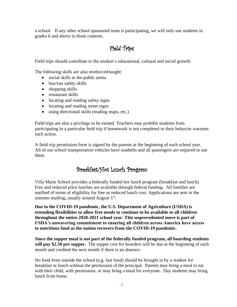a school. If any other school sponsored team is participating, we will only use students in grades 6 and above in those contests.

# Field Trips

Field trips should contribute to the student's educational, cultural and social growth.

The following skills are also reinforced/taught:

- social skills in the public arena
- bus/van safety skills
- shopping skills
- restaurant skills
- locating and reading safety signs
- locating and reading street signs
- using directional skills (reading maps, etc.)

Field trips are also a privilege to be earned. Teachers may prohibit students from participating in a particular field trip if homework is not completed or their behavior warrants such action.

A field trip permission form is signed by the parents at the beginning of each school year. All of our school transportation vehicles have seatbelts and all passengers are required to use them.

# Breakfast/Hot Lunch Program

Villa Marie School provides a federally funded hot lunch program (breakfast and lunch). Free and reduced price lunches are available through federal funding. All families are notified of terms of eligibility for free or reduced lunch cost. Applications are sent in the summer mailing, usually around August  $1<sup>st</sup>$ .

**Due to the COVID-19 pandemic, the U.S. Department of Agriculture (USDA) is extending flexibilities to allow free meals to continue to be available to all children throughout the entire 2020-2021 school year. This unprecedented move is part of USDA's unwavering commitment to ensuring all children across America have access to nutritious food as the nation recovers from the COVID-19 pandemic.**

**Since the supper meal is not part of the federally funded program, all boarding students**  will pay \$2.50 per supper. The supper cost for boarders will be due at the beginning of each month and credited the next month if there is an absence.

No food from outside the school (e.g. fast food) should be brought in by a student for breakfast or lunch without the permission of the principal. Parents may bring a meal to eat with their child, with permission, or may bring a meal for everyone. Day students may bring lunch from home.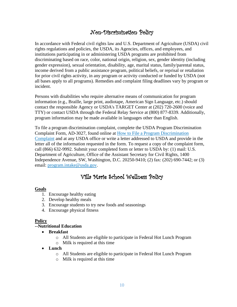# Non-Discrimination Policy

In accordance with Federal civil rights law and U.S. Department of Agriculture (USDA) civil rights regulations and policies, the USDA, its Agencies, offices, and employees, and institutions participating in or administering USDA programs are prohibited from discriminating based on race, color, national origin, religion, sex, gender identity (including gender expression), sexual orientation, disability, age, marital status, family/parental status, income derived from a public assistance program, political beliefs, or reprisal or retaliation for prior civil rights activity, in any program or activity conducted or funded by USDA (not all bases apply to all programs). Remedies and complaint filing deadlines vary by program or incident.

Persons with disabilities who require alternative means of communication for program information (e.g., Braille, large print, audiotape, American Sign Language, etc.) should contact the responsible Agency or USDA's TARGET Center at (202) 720-2600 (voice and TTY) or contact USDA through the Federal Relay Service at (800) 877-8339. Additionally, program information may be made available in languages other than English.

To file a program discrimination complaint, complete the USDA Program Discrimination Complaint Form, AD-3027, found online at [How to File a Program Discrimination](https://www.ascr.usda.gov/how-file-program-discrimination-complaint)  [Complaint](https://www.ascr.usda.gov/how-file-program-discrimination-complaint) and at any USDA office or write a letter addressed to USDA and provide in the letter all of the information requested in the form. To request a copy of the complaint form, call (866) 632-9992. Submit your completed form or letter to USDA by: (1) mail: U.S. Department of Agriculture, Office of the Assistant Secretary for Civil Rights, 1400 Independence Avenue, SW, Washington, D.C. 20250-9410; (2) fax: (202) 690-7442; or (3) email: [program.intake@usda.gov.](mailto:program.intake@usda.gov)

# Villa Marie School Wellness Policy

#### **Goals**

- 1. Encourage healthy eating
- 2. Develop healthy meals
- 3. Encourage students to try new foods and seasonings
- 4. Encourage physical fitness

#### **Policy**

#### **--Nutritional Education**

- **Breakfast**
	- o All Students are eligible to participate in Federal Hot Lunch Program
	- o Milk is required at this time
- **Lunch**
	- o All Students are eligible to participate in Federal Hot Lunch Program
	- o Milk is required at this time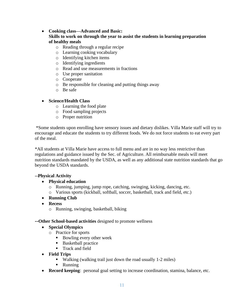#### • **Cooking class—Advanced and Basic:**

#### **Skills to work on through the year to assist the students in learning preparation of healthy meals**

- o Reading through a regular recipe
- o Learning cooking vocabulary
- o Identifying kitchen items
- o Identifying ingredients
- o Read and use measurements in fractions
- o Use proper sanitation
- o Cooperate
- o Be responsible for cleaning and putting things away
- o Be safe

#### • **Science/Health Class**

- o Learning the food plate
- o Food sampling projects
- o Proper nutrition

\*Some students upon enrolling have sensory issues and dietary dislikes. Villa Marie staff will try to encourage and educate the students to try different foods. We do not force students to eat every part of the meal.

\*All students at Villa Marie have access to full menu and are in no way less restrictive than regulations and guidance issued by the Sec. of Agriculture. All reimbursable meals will meet nutrition standards mandated by the USDA, as well as any additional state nutrition standards that go beyond the USDA standards.

#### **--Physical Activity**

- **Physical education**
	- o Running, jumping, jump rope, catching, swinging, kicking, dancing, etc.
	- o Various sports (kickball, softball, soccer, basketball, track and field, etc.)
- **Running Club**
- **Recess**
	- o Running, swinging, basketball, biking

#### **--Other School-based activities** designed to promote wellness

#### • **Special Olympics**

- o Practice for sports
	- Bowling every other week
	- Basketball practice
	- **Track and field**
- **Field Trips**
	- Walking (walking trail just down the road usually 1-2 miles)
	- Running
- **Record keeping**: personal goal setting to increase coordination, stamina, balance, etc.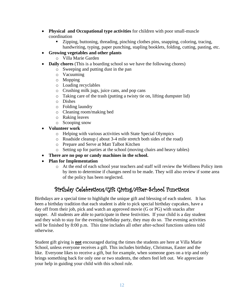- **Physical and Occupational type activities** for children with poor small-muscle coordination
	- Zipping, buttoning, threading, pinching clothes pins, snapping, coloring, tracing, handwriting, typing, paper punching, stapling booklets, folding, cutting, pasting, etc.
- **Growing vegetables and other plants**
	- o Villa Marie Garden
- **Daily chores** (This is a boarding school so we have the following chores)
	- o Sweeping and putting dust in the pan
	- o Vacuuming
	- o Mopping
	- o Loading recyclables
	- o Crushing milk jugs, juice cans, and pop cans
	- o Taking care of the trash (putting a twisty tie on, lifting dumpster lid)
	- o Dishes
	- o Folding laundry
	- o Cleaning room/making bed
	- o Raking leaves
	- o Scooping snow
- **Volunteer work**
	- o Helping with various activities with State Special Olympics
	- o Roadside cleanup ( about 3-4 mile stretch both sides of the road)
	- o Prepare and Serve at Matt Talbot Kitchen
	- o Setting up for parties at the school (moving chairs and heavy tables)
- **There are no pop or candy machines in the school.**
- **Plan for Implementation**
	- o At the end of each school year teachers and staff will review the Wellness Policy item by item to determine if changes need to be made. They will also review if some area of the policy has been neglected.

# Birthday Celebrations/Gift Giving/After-School Functions

Birthdays are a special time to highlight the unique gift and blessing of each student. It has been a birthday tradition that each student is able to pick special birthday cupcakes, have a day off from their job, pick and watch an approved movie (G or PG) with snacks after supper. All students are able to participate in these festivities. If your child is a day student and they wish to stay for the evening birthday party, they may do so. The evening activities will be finished by 8:00 p.m. This time includes all other after-school functions unless told otherwise.

Student gift giving is **not** encouraged during the times the students are here at Villa Marie School, unless everyone receives a gift. This includes birthday, Christmas, Easter and the like. Everyone likes to receive a gift, but for example, when someone goes on a trip and only brings something back for only one or two students, the others feel left out. We appreciate your help in guiding your child with this school rule.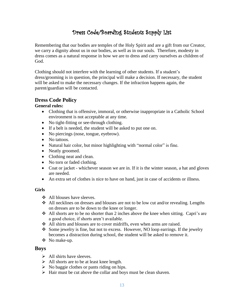# Dress Code/Boarding Students Supply List

Remembering that our bodies are temples of the Holy Spirit and are a gift from our Creator, we carry a dignity about us in our bodies, as well as in our souls. Therefore, modesty in dress comes as a natural response in how we are to dress and carry ourselves as children of God.

Clothing should not interfere with the learning of other students. If a student's dress/grooming is in question, the principal will make a decision. If necessary, the student will be asked to make the necessary changes. If the infraction happens again, the parent/guardian will be contacted.

## **Dress Code Policy**

#### **General rules:**

- Clothing that is offensive, immoral, or otherwise inappropriate in a Catholic School environment is not acceptable at any time.
- No tight-fitting or see-through clothing.
- If a belt is needed, the student will be asked to put one on.
- No piercings (nose, tongue, eyebrow).
- No tattoos.
- Natural hair color, but minor highlighting with "normal color" is fine.
- Neatly groomed.
- Clothing neat and clean.
- No torn or faded clothing.
- Coat or jacket whichever season we are in. If it is the winter season, a hat and gloves are needed.
- An extra set of clothes is nice to have on hand, just in case of accidents or illness.

#### **Girls**

- ❖ All blouses have sleeves.
- ❖ All necklines on dresses and blouses are not to be low cut and/or revealing. Lengths on dresses are to be down to the knee or longer.
- ❖ All shorts are to be no shorter than 2 inches above the knee when sitting. Capri's are a good choice, if shorts aren't available.
- ❖ All shirts and blouses are to cover midriffs, even when arms are raised.
- ❖ Some jewelry is fine, but not to excess. However, NO loop earrings. If the jewelry becomes a distraction during school, the student will be asked to remove it.
- ❖ No make-up.

#### **Boys**

- $\triangleright$  All shirts have sleeves.
- ➢ All shorts are to be at least knee length.
- $\triangleright$  No baggie clothes or pants riding on hips.
- ➢ Hair must be cut above the collar and boys must be clean shaven.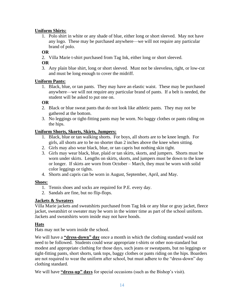#### **Uniform Shirts:**

1. Polo shirt in white or any shade of blue, either long or short sleeved. May not have any logo. These may be purchased anywhere—we will not require any particular brand of polo.

#### **OR**

2. Villa Marie t-shirt purchased from Tag Ink, either long or short sleeved.

#### **OR**

3. Any plain blue shirt, long or short sleeved. Must not be sleeveless, tight, or low-cut and must be long enough to cover the midriff.

#### **Uniform Pants:**

1. Black, blue, or tan pants. They may have an elastic waist. These may be purchased anywhere—we will not require any particular brand of pants. If a belt is needed, the student will be asked to put one on.

#### **OR**

- 2. Black or blue sweat pants that do not look like athletic pants. They may not be gathered at the bottom.
- 3. No leggings or tight-fitting pants may be worn. No baggy clothes or pants riding on the hips.

#### **Uniform Shorts, Skorts, Skirts, Jumpers:**

- 1. Black, blue or tan walking shorts. For boys, all shorts are to be knee length. For girls, all shorts are to be no shorter than 2 inches above the knee when sitting.
- 2. Girls may also wear black, blue, or tan capris but nothing skin tight.
- 3. Girls may wear black, blue, plaid or tan skirts, skorts, and jumpers. Shorts must be worn under skirts. Lengths on skirts, skorts, and jumpers must be down to the knee or longer. If skirts are worn from October – March, they must be worn with solid color leggings or tights.
- 4. Shorts and capris can be worn in August, September, April, and May.

#### **Shoes:**

- 1. Tennis shoes and socks are required for P.E. every day.
- 2. Sandals are fine, but no flip-flops.

#### **Jackets & Sweaters**

Villa Marie jackets and sweatshirts purchased from Tag Ink or any blue or gray jacket, fleece jacket, sweatshirt or sweater may be worn in the winter time as part of the school uniform. Jackets and sweatshirts worn inside may not have hoods.

#### **Hats**

Hats may not be worn inside the school.

We will have a **"dress-down" day** once a month in which the clothing standard would not need to be followed. Students could wear appropriate t-shirts or other non-standard but modest and appropriate clothing for those days, such jeans or sweatpants, but no leggings or tight-fitting pants, short shorts, tank tops, baggy clothes or pants riding on the hips. Boarders are not required to wear the uniform after school, but must adhere to the "dress-down" day clothing standard.

We will have **"dress-up" days** for special occasions (such as the Bishop's visit).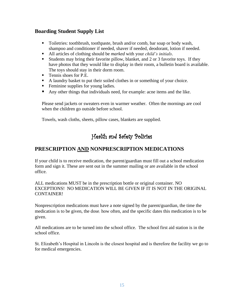## **Boarding Student Supply List**

- Toiletries: toothbrush, toothpaste, brush and/or comb, bar soap or body wash, shampoo and conditioner if needed, shaver if needed, deodorant, lotion if needed.
- All articles of clothing should be *marked* with your *child's initials*.
- Students may bring their favorite pillow, blanket, and 2 or 3 favorite toys. If they have photos that they would like to display in their room, a bulletin board is available. The toys should stay in their dorm room.
- Tennis shoes for P.E.
- A laundry basket to put their soiled clothes in or something of your choice.
- **•** Feminine supplies for young ladies.
- Any other things that individuals need, for example: acne items and the like.

Please send jackets or sweaters even in warmer weather. Often the mornings are cool when the children go outside before school.

Towels, wash cloths, sheets, pillow cases, blankets are supplied.

# Health and Safety Policies

## **PRESCRIPTION AND NONPRESCRIPTION MEDICATIONS**

If your child is to receive medication, the parent/guardian must fill out a school medication form and sign it. These are sent out in the summer mailing or are available in the school office.

ALL medications MUST be in the prescription bottle or original container. NO EXCEPTIONS! NO MEDICATION WILL BE GIVEN IF IT IS NOT IN THE ORIGINAL CONTAINER!

Nonprescription medications must have a note signed by the parent/guardian, the time the medication is to be given, the dose, how often, and the specific dates this medication is to be given.

All medications are to be turned into the school office. The school first aid station is in the school office.

St. Elizabeth's Hospital in Lincoln is the closest hospital and is therefore the facility we go to for medical emergencies.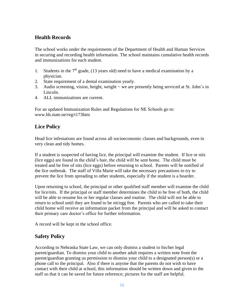## **Health Records**

The school works under the requirements of the Department of Health and Human Services in securing and recording health information. The school maintains cumulative health records and immunizations for each student.

- 1. Students in the  $7<sup>th</sup>$  grade, (13 years old) need to have a medical examination by a physician.
- 2. State requirement of a dental examination yearly.
- 3. Audio screening, vision, height, weight ~ we are presently being serviced at St. John's in Lincoln.
- 4. ALL immunizations are current.

For an updated Immunization Rules and Regulations for NE Schools go to: www.hh.state.ne/reg/t173htm

## **Lice Policy**

Head lice infestations are found across all socioeconomic classes and backgrounds, even in very clean and tidy homes.

If a student is suspected of having lice, the principal will examine the student. If lice or nits (lice eggs) are found in the child's hair, the child will be sent home. The child must be treated and be free of nits (lice eggs) before returning to school. Parents will be notified of the lice outbreak. The staff of Villa Marie will take the necessary precautions to try to prevent the lice from spreading to other students, especially if the student is a boarder.

Upon returning to school, the principal or other qualified staff member will examine the child for lice/nits. If the principal or staff member determines the child to be free of both, the child will be able to resume his or her regular classes and routine. The child will not be able to return to school until they are found to be nit/egg free. Parents who are called to take their child home will receive an information packet from the principal and will be asked to contact their primary care doctor's office for further information.

A record will be kept in the school office.

## **Safety Policy**

According to Nebraska State Law, we can only dismiss a student to his/her legal parent/guardian. To dismiss your child to another adult requires a written note from the parent/guardian granting us permission to dismiss your child to a designated person(s) or a phone call to the principal. Also if there is anyone that the parents do not wish to have contact with their child at school, this information should be written down and given to the staff so that it can be saved for future reference; pictures for the staff are helpful.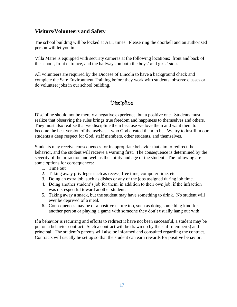## **Visitors/Volunteers and Safety**

The school building will be locked at ALL times. Please ring the doorbell and an authorized person will let you in.

Villa Marie is equipped with security cameras at the following locations: front and back of the school, front entrance, and the hallways on both the boys' and girls' sides.

All volunteers are required by the Diocese of Lincoln to have a background check and complete the Safe Environment Training before they work with students, observe classes or do volunteer jobs in our school building.

# Discipline

Discipline should not be merely a negative experience, but a positive one. Students must realize that observing the rules brings true freedom and happiness to themselves and others. They must also realize that we discipline them because we love them and want them to become the best version of themselves—who God created them to be. We try to instill in our students a deep respect for God, staff members, other students, and themselves.

Students may receive consequences for inappropriate behavior that aim to redirect the behavior, and the student will receive a warning first. The consequence is determined by the severity of the infraction and well as the ability and age of the student. The following are some options for consequences:

- 1. Time out
- 2. Taking away privileges such as recess, free time, computer time, etc.
- 3. Doing an extra job, such as dishes or any of the jobs assigned during job time.
- 4. Doing another student's job for them, in addition to their own job, if the infraction was disrespectful toward another student.
- 5. Taking away a snack, but the student may have something to drink. No student will ever be deprived of a meal.
- 6. Consequences may be of a positive nature too, such as doing something kind for another person or playing a game with someone they don't usually hang out with.

If a behavior is recurring and efforts to redirect it have not been successful, a student may be put on a behavior contract. Such a contract will be drawn up by the staff member(s) and principal. The student's parents will also be informed and consulted regarding the contract. Contracts will usually be set up so that the student can earn rewards for positive behavior.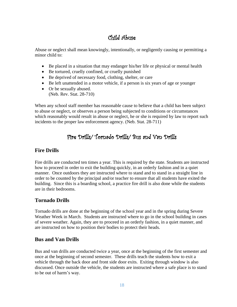# Child Abuse

Abuse or neglect shall mean knowingly, intentionally, or negligently causing or permitting a minor child to:

- Be placed in a situation that may endanger his/her life or physical or mental health
- Be tortured, cruelly confined, or cruelly punished
- Be deprived of necessary food, clothing, shelter, or care
- Be left unattended in a motor vehicle, if a person is six years of age or younger
- Or be sexually abused. (Neb. Rev. Stat. 28-710)

When any school staff member has reasonable cause to believe that a child has been subject to abuse or neglect, or observes a person being subjected to conditions or circumstances which reasonably would result in abuse or neglect, he or she is required by law to report such incidents to the proper law enforcement agency. (Neb. Stat. 28-711)

# Fire Drills/ Tornado Drills/ Bus and Van Drills

## **Fire Drills**

Fire drills are conducted ten times a year. This is required by the state. Students are instructed how to proceed in order to exit the building quickly, in an orderly fashion and in a quiet manner. Once outdoors they are instructed where to stand and to stand in a straight line in order to be counted by the principal and/or teacher to ensure that all students have exited the building. Since this is a boarding school, a practice fire drill is also done while the students are in their bedrooms.

## **Tornado Drills**

Tornado drills are done at the beginning of the school year and in the spring during Severe Weather Week in March. Students are instructed where to go in the school building in cases of severe weather. Again, they are to proceed in an orderly fashion, in a quiet manner, and are instructed on how to position their bodies to protect their heads.

## **Bus and Van Drills**

Bus and van drills are conducted twice a year, once at the beginning of the first semester and once at the beginning of second semester. These drills teach the students how to exit a vehicle through the back door and front side door exits. Exiting through window is also discussed. Once outside the vehicle, the students are instructed where a safe place is to stand to be out of harm's way.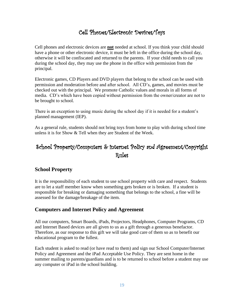# Cell Phones/Electronic Devices/Toys

Cell phones and electronic devices are **not** needed at school. If you think your child should have a phone or other electronic device, it must be left in the office during the school day, otherwise it will be confiscated and returned to the parents. If your child needs to call you during the school day, they may use the phone in the office with permission from the principal.

Electronic games, CD Players and DVD players that belong to the school can be used with permission and moderation before and after school. All CD's, games, and movies must be checked out with the principal. We promote Catholic values and morals in all forms of media. CD's which have been copied without permission from the owner/creator are not to be brought to school.

There is an exception to using music during the school day if it is needed for a student's planned management (IEP).

As a general rule, students should not bring toys from home to play with during school time unless it is for Show & Tell when they are Student of the Week.

# School Property/Computers & internet Policy and Agreement/Copyright Rules

## **School Property**

It is the responsibility of each student to use school property with care and respect. Students are to let a staff member know when something gets broken or is broken. If a student is responsible for breaking or damaging something that belongs to the school, a fine will be assessed for the damage/breakage of the item.

## **Computers and Internet Policy and Agreement**

All our computers, Smart Boards, iPads, Projectors, Headphones, Computer Programs, CD and Internet Based devices are all given to us as a gift through a generous benefactor. Therefore, as our response to this gift we will take good care of them so as to benefit our educational program to the fullest.

Each student is asked to read (or have read to them) and sign our School Computer/Internet Policy and Agreement and the iPad Acceptable Use Policy. They are sent home in the summer mailing to parents/guardians and is to be returned to school before a student may use any computer or iPad in the school building.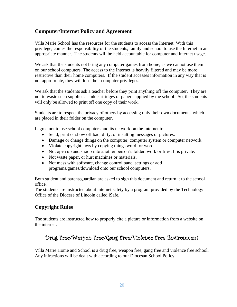## **Computer/Internet Policy and Agreement**

Villa Marie School has the resources for the students to access the Internet. With this privilege, comes the responsibility of the students, family and school to use the Internet in an appropriate manner. The students will be held accountable for computer and internet usage.

We ask that the students not bring any computer games from home, as we cannot use them on our school computers. The access to the Internet is heavily filtered and may be more restrictive than their home computers. If the student accesses information in any way that is not appropriate, they will lose their computer privileges.

We ask that the students ask a teacher before they print anything off the computer. They are not to waste such supplies as ink cartridges or paper supplied by the school. So, the students will only be allowed to print off one copy of their work.

Students are to respect the privacy of others by accessing only their own documents, which are placed in their folder on the computer.

I agree not to use school computers and its network on the Internet to:

- Send, print or show off bad, dirty, or insulting messages or pictures.
- Damage or change things on the computer, computer system or computer network.
- Violate copyright laws by copying things word for word.
- Not open up and snoop into another person's folder, work or files. It is private.
- Not waste paper, or hurt machines or materials.
- Not mess with software, change control panel settings or add programs/games/download onto our school computers.

Both student and parent/guardian are asked to sign this document and return it to the school office.

The students are instructed about internet safety by a program provided by the Technology Office of the Diocese of Lincoln called iSafe.

## **Copyright Rules**

The students are instructed how to properly cite a picture or information from a website on the internet.

# Drug Free/Weapon Free/Gang Free/Violence Free Environment

Villa Marie Home and School is a drug free, weapon free, gang free and violence free school. Any infractions will be dealt with according to our Diocesan School Policy.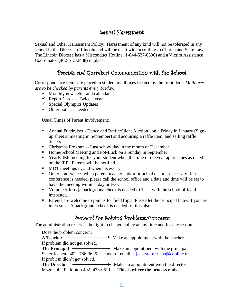# Sexual Harassment

Sexual and Other Harassment Policy: Harassment of any kind will not be tolerated in any school in the Diocese of Lincoln and will be dealt with according to Church and State Law. The Lincoln Diocese has a Misconduct Hotline (1-844-527-0596) and a Victim Assistance Coordinator (402-613-2488) in place.

# Parents and Guardians Communication with the School

Correspondence items are placed in student mailboxes located by the front door. *Mailboxes are to be checked by parents every Friday.*

- $\checkmark$  Monthly newsletter and calendar
- $\checkmark$  Report Cards -- Twice a year
- $\checkmark$  Special Olympics Updates
- $\checkmark$  Other notes as needed.

Usual Times of Parent Involvement:

- **Annual Fundraiser Dance and Raffle/Silent Auction –on a Friday in January (Sign**up sheet at meeting in September) and acquiring a raffle item, and selling raffle tickets
- Christmas Program -- Last school day in the month of December
- Home/School Meeting and Pot-Luck on a Sunday in September
- Yearly IEP meeting for your student when the time of the year approaches as dated on the IEP. Parents will be notified.
- MDT meetings if, and when necessary
- Other conferences when parent, teacher and/or principal deem it necessary. If a conference is needed, please call the school office and a date and time will be set to have the meeting within a day or two.
- Volunteer Jobs (a background check is needed). Check with the school office if interested.
- Parents are welcome to join us for field trips. Please let the principal know if you are interested. A background check is needed for this also.

# Protocol for Solving Problems/Concerns

The administration reserves the right to change policy at any time and for any reason.

| Does the problem concern:         |                                                                                |
|-----------------------------------|--------------------------------------------------------------------------------|
| <b>A</b> Teacher                  | $\rightarrow$ Make an appointment with the teacher.                            |
| If problem did not get solved.    |                                                                                |
|                                   | <b>The Principal</b> $\rightarrow$ Make an appointment with the principal      |
|                                   | Sister Jeanette 402-786-3625 – school or email sr.jeanette-rerucha@cdolinc.net |
| If problem didn't get solved.     |                                                                                |
| <b>The Director</b>               | $\rightarrow$ Make an appointment with the director                            |
| Msgr. John Perkinton 402-473-0611 | This is where the process ends.                                                |